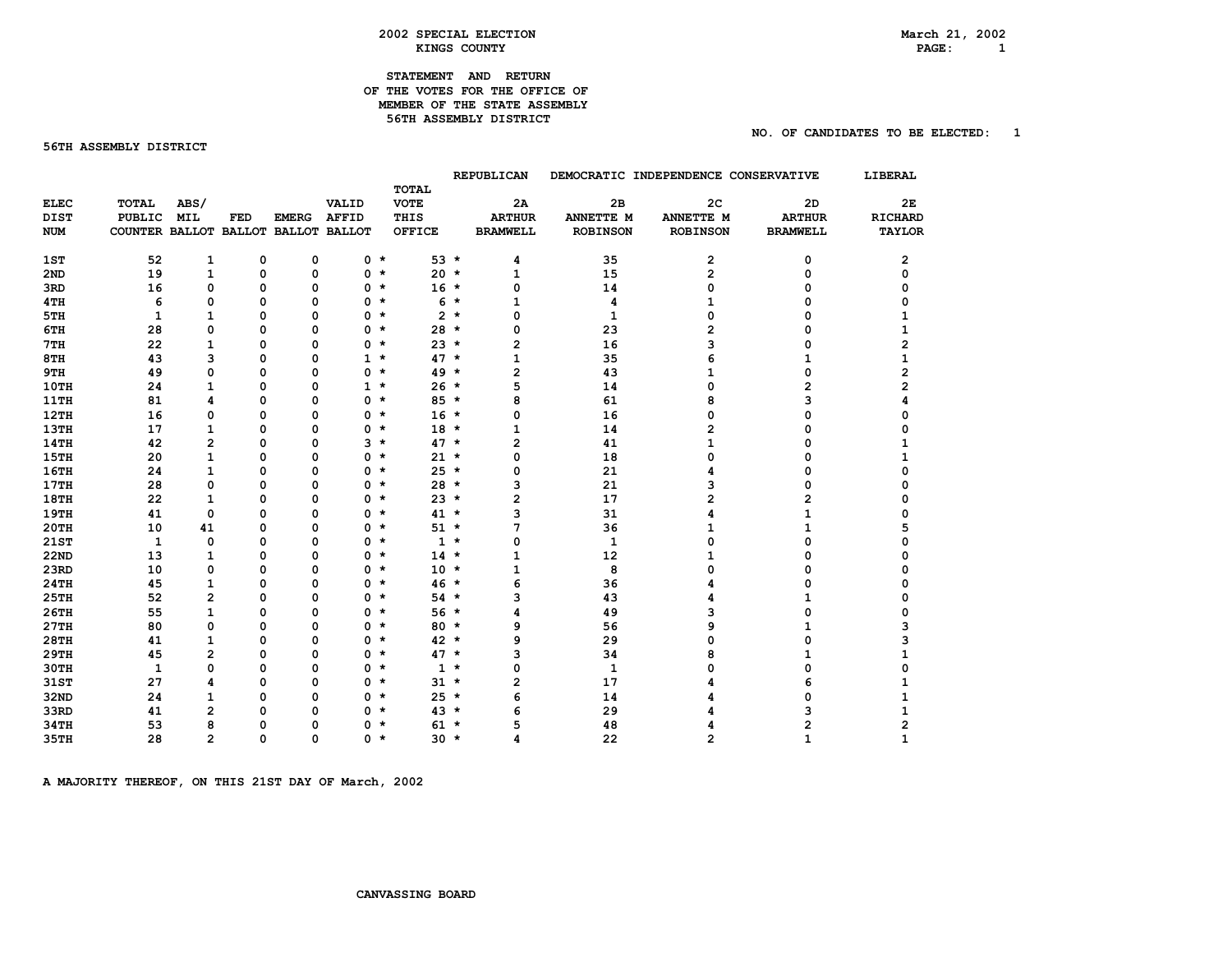# $PAGE: 1$

# **STATEMENT AND RETURN OF THE VOTES FOR THE OFFICE OF MEMBER OF THE STATE ASSEMBLY 56TH ASSEMBLY DISTRICT**

### **56TH ASSEMBLY DISTRICT**

#### **NO. OF CANDIDATES TO BE ELECTED: 1**

|                 |                                     |                         |             |              |              |                       |       | REPUBLICAN      |                 | DEMOCRATIC INDEPENDENCE CONSERVATIVE |                 | <b>LIBERAL</b> |
|-----------------|-------------------------------------|-------------------------|-------------|--------------|--------------|-----------------------|-------|-----------------|-----------------|--------------------------------------|-----------------|----------------|
|                 |                                     |                         |             |              |              | <b>TOTAL</b>          |       |                 |                 |                                      |                 |                |
| <b>ELEC</b>     | <b>TOTAL</b>                        | ABS/                    |             |              | VALID        | <b>VOTE</b>           |       | 2A              | 2B              | 2 <sub>C</sub>                       | 2D              | 2E             |
| <b>DIST</b>     | <b>PUBLIC</b>                       | <b>MIL</b>              | FED         | <b>EMERG</b> | <b>AFFID</b> | THIS                  |       | <b>ARTHUR</b>   | ANNETTE M       | ANNETTE M                            | <b>ARTHUR</b>   | <b>RICHARD</b> |
| <b>NUM</b>      | COUNTER BALLOT BALLOT BALLOT BALLOT |                         |             |              |              | <b>OFFICE</b>         |       | <b>BRAMWELL</b> | <b>ROBINSON</b> | <b>ROBINSON</b>                      | <b>BRAMWELL</b> | <b>TAYLOR</b>  |
| 1ST             | 52                                  | $\mathbf{1}$            | $\mathbf 0$ | $\mathbf 0$  | $0 *$        | $53 *$                |       | 4               | 35              | 2                                    | 0               | 2              |
| 2 <sub>ND</sub> | 19                                  | $\mathbf{1}$            | $\Omega$    | $\Omega$     | $0 *$        | $20 *$                |       | 1               | 15              | 2                                    | 0               | 0              |
| 3RD             | 16                                  | 0                       | 0           | 0            | $0 *$        | $16 *$                |       | 0               | 14              | 0                                    | 0               | 0              |
| 4TH             | 6                                   | 0                       | 0           | 0            | 0            | $\star$               | $6*$  | 1               | 4               | 1                                    | n               | 0              |
| 5TH             | 1                                   | 1                       | 0           | $\Omega$     | 0            | $\star$               | $2 *$ | 0               | $\mathbf{1}$    | 0                                    | ŋ               | 1              |
| 6TH             | 28                                  | 0                       | 0           | $\Omega$     | 0            | $\star$<br>$28 *$     |       | 0               | 23              | 2                                    | O               | 1              |
| 7TH             | 22                                  | $\mathbf{1}$            | 0           | 0            | 0            | $23 *$<br>$\star$     |       | 2               | 16              | 3                                    | O               | 2              |
| 8TH             | 43                                  | 3                       | 0           | 0            | $1 *$        | $47 *$                |       | 1               | 35              | 6                                    | 1               | 1              |
| 9TH             | 49                                  | 0                       | 0           | 0            | 0            | $49 *$<br>$\star$     |       | 2               | 43              | 1                                    | 0               | 2              |
| 10TH            | 24                                  | $\mathbf{1}$            | O           | 0            | $1 *$        | $26 *$                |       | 5               | 14              | 0                                    | 2               | 2              |
| <b>11TH</b>     | 81                                  | 4                       | 0           | $\Omega$     | 0            | $85 *$<br>$\star$     |       | 8               | 61              | 8                                    | 3               | Δ              |
| 12TH            | 16                                  | 0                       | 0           | $\Omega$     | 0            | $\star$<br>$16 *$     |       | 0               | 16              | 0                                    | 0               | ი              |
| <b>13TH</b>     | 17                                  | $\mathbf{1}$            | 0           | 0            | 0            | $18 *$<br>$\star$     |       | 1               | 14              | 2                                    | 0               |                |
| <b>14TH</b>     | 42                                  | $\overline{2}$          | O           | $\Omega$     | $3 *$        | $47 *$                |       | 2               | 41              | 1                                    | 0               | 1              |
| <b>15TH</b>     | 20                                  | $\mathbf{1}$            | 0           | 0            | 0            | $21 *$<br>$\star$     |       | 0               | 18              | 0                                    | 0               |                |
| <b>16TH</b>     | 24                                  | $\mathbf{1}$            | 0           | $\mathbf 0$  | 0            | $25 *$<br>$\star$     |       | 0               | 21              | 4                                    | O               |                |
| <b>17TH</b>     | 28                                  | 0                       | 0           | 0            | 0            | $28 *$<br>$\star$     |       | з               | 21              | з                                    | 0               |                |
| <b>18TH</b>     | 22                                  | $\mathbf{1}$            | 0           | 0            | 0 *          | $23 *$                |       | 2               | 17              | 2                                    | 2               |                |
| 19TH            | 41                                  | 0                       | 0           | 0            | 0            | $41 *$<br>$\star$     |       | 3               | 31              | 4                                    |                 |                |
| <b>20TH</b>     | 10                                  | 41                      | 0           | 0            | $0 *$        | $51 *$                |       | 7               | 36              | 1                                    |                 |                |
| 21ST            | 1                                   | 0                       | 0           | 0            | 0 *          |                       | $1 *$ | 0               | $\mathbf{1}$    | 0                                    | 0               | n              |
| <b>22ND</b>     | 13                                  | $\mathbf{1}$            | 0           | $\mathbf 0$  | 0            | $14 *$<br>$\star$     |       | 1               | 12              | 1                                    | O               |                |
| 23RD            | 10                                  | 0                       | 0           | $\Omega$     | $0 *$        | $10 *$                |       | 1               | 8               | 0                                    | O               |                |
| <b>24TH</b>     | 45                                  | $\mathbf{1}$            | 0           | $\Omega$     | $0 *$        | $46 *$                |       | 6               | 36              | 4                                    | 0               |                |
| 25TH            | 52                                  | $\overline{\mathbf{c}}$ | O           | $\mathbf 0$  | 0            | $\star$<br>$54 *$     |       | 3               | 43              | 4                                    | 1               |                |
| 26TH            | 55                                  | $\mathbf{1}$            | 0           | $\Omega$     | $0 *$        | $56 *$                |       | 4               | 49              | 3                                    | 0               | 0              |
| 27TH            | 80                                  | 0                       | 0           | $\mathbf 0$  | $0 *$        | $80 *$                |       | 9               | 56              | 9                                    |                 | З              |
| <b>28TH</b>     | 41                                  | 1                       | 0           | $\Omega$     | 0            | $42 *$<br>$\star$     |       | 9               | 29              | n                                    | O               |                |
| <b>29TH</b>     | 45                                  | 2                       | 0           | 0            | 0            | $47 *$<br>$\star$     |       | 3               | 34              | 8                                    | 1               |                |
| <b>30TH</b>     | $\mathbf{1}$                        | 0                       | 0           | 0            | 0 *          |                       | $1 *$ | 0               | $\mathbf{1}$    | n                                    | 0               | ŋ              |
| 31ST            | 27                                  | 4                       | O           | 0            | 0            | $31 \star$<br>$\star$ |       | 2               | 17              |                                      | 6               |                |
| 32ND            | 24                                  | $\mathbf{1}$            | 0           | $\mathbf 0$  | $0 *$        | $25 *$                |       | 6               | 14              |                                      | 0               | 1              |
| 33RD            | 41                                  | $\overline{a}$          | o           | $\mathbf 0$  | 0            | $43*$<br>$\star$      |       | 6               | 29              |                                      | з               |                |
| <b>34TH</b>     | 53                                  | 8                       | 0           | $\Omega$     | 0            | $61 *$<br>$\star$     |       | 5               | 48              |                                      | 2               | 2              |
| <b>35TH</b>     | 28                                  | $\overline{2}$          | $\Omega$    | $\Omega$     | 0 *          | $30 *$                |       |                 | 22              | $\overline{2}$                       | 1               | 1              |

A MAJORITY THEREOF, ON THIS 21ST DAY OF March, 2002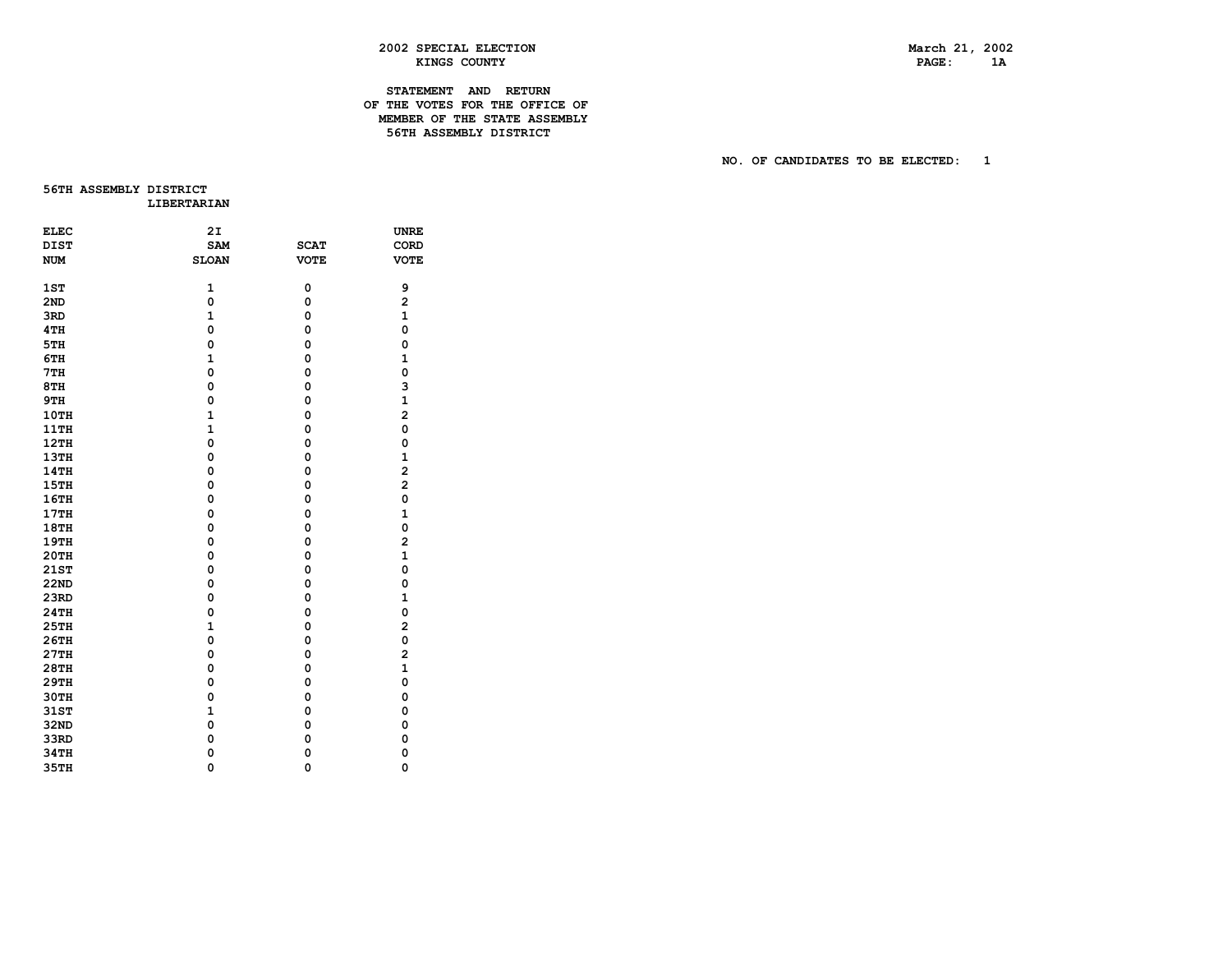# **2002 SPECIAL ELECTION March 21, 2002 EXINGS COUNTY RESOURCE AND RESOURCE ASSESSED ASSOCIATE** AND PAGE 2 **1A**

# **STATEMENT AND RETURN OF THE VOTES FOR THE OFFICE OF MEMBER OF THE STATE ASSEMBLY 56TH ASSEMBLY DISTRICT**

 **NO. OF CANDIDATES TO BE ELECTED: 1** 

**56TH ASSEMBLY DISTRICT LIBERTARIAN** 

| <b>ELEC</b> | 2I           |             | <b>UNRE</b>             |
|-------------|--------------|-------------|-------------------------|
| <b>DIST</b> | SAM          | <b>SCAT</b> | CORD                    |
| <b>NUM</b>  | <b>SLOAN</b> | <b>VOTE</b> | <b>VOTE</b>             |
|             |              |             |                         |
| 1ST         | $\mathbf{1}$ | 0           | 9                       |
| 2ND         | 0            | 0           | $\overline{\mathbf{c}}$ |
| 3RD         | $\mathbf{1}$ | 0           | $\mathbf{1}$            |
| 4TH         | 0            | 0           | $\mathbf 0$             |
| 5TH         | 0            | 0           | 0                       |
| 6TH         | $\mathbf{1}$ | 0           | $\mathbf{1}$            |
| 7TH         | 0            | 0           | 0                       |
| 8TH         | $\mathbf 0$  | 0           | 3                       |
| 9TH         | 0            | 0           | 1                       |
| 10TH        | $\mathbf{1}$ | 0           | $\overline{a}$          |
| <b>11TH</b> | $\mathbf{1}$ | 0           | 0                       |
| 12TH        | 0            | 0           | 0                       |
| <b>13TH</b> | 0            | 0           | $\mathbf{1}$            |
| 14TH        | 0            | 0           | 2                       |
| 15TH        | 0            | 0           | $\overline{a}$          |
| 16TH        | 0            | 0           | 0                       |
| 17TH        | 0            | 0           | $\mathbf{1}$            |
| 18TH        | 0            | 0           | 0                       |
| 19TH        | 0            | 0           | $\overline{a}$          |
| <b>20TH</b> | 0            | 0           | $\mathbf{1}$            |
| <b>21ST</b> | 0            | 0           | 0                       |
| <b>22ND</b> | 0            | 0           | 0                       |
| 23RD        | 0            | 0           | $\mathbf{1}$            |
| <b>24TH</b> | 0            | 0           | 0                       |
| 25TH        | $\mathbf{1}$ | 0           | 2                       |
| 26TH        | 0            | 0           | 0                       |
| 27TH        | 0            | 0           | 2                       |
| <b>28TH</b> | $\mathbf 0$  | 0           | $\mathbf{1}$            |
| <b>29TH</b> | 0            | 0           | 0                       |
| 30TH        | $\mathbf 0$  | 0           | 0                       |
| 31ST        | $\mathbf{1}$ | 0           | 0                       |
| 32ND        | 0            | 0           | 0                       |
| 33RD        | 0            | 0           | $\mathbf 0$             |
| 34TH        | 0            | 0           | $\mathbf 0$             |
| <b>35TH</b> | $\mathbf 0$  | 0           | $\mathbf 0$             |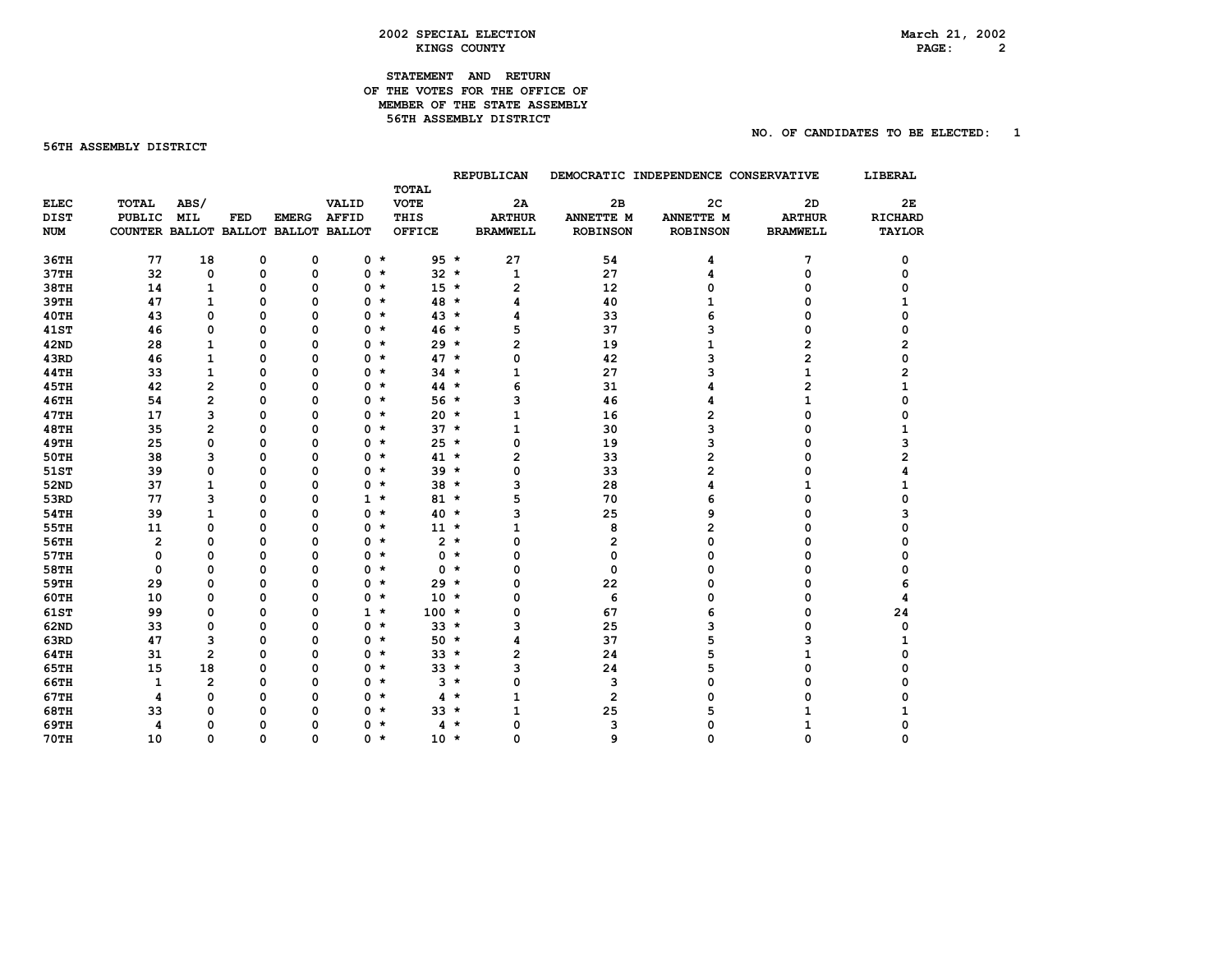### **2002 SPECIAL ELECTION March 21, 2002 KINGS COUNTY**

# **STATEMENT AND RETURN OF THE VOTES FOR THE OFFICE OF MEMBER OF THE STATE ASSEMBLY 56TH ASSEMBLY DISTRICT**

### **56TH ASSEMBLY DISTRICT**

# **NO. OF CANDIDATES TO BE ELECTED: 1**

|             |                                     |                         |          |              |              |                             |        | <b>REPUBLICAN</b> |                         | DEMOCRATIC INDEPENDENCE CONSERVATIVE |                 | LIBERAL        |
|-------------|-------------------------------------|-------------------------|----------|--------------|--------------|-----------------------------|--------|-------------------|-------------------------|--------------------------------------|-----------------|----------------|
| <b>ELEC</b> | TOTAL                               | ABS/                    |          |              | VALID        | <b>TOTAL</b><br><b>VOTE</b> |        | 2A                | 2B                      | 2 <sub>C</sub>                       | 2D              | 2Е             |
| <b>DIST</b> | <b>PUBLIC</b>                       | <b>MIL</b>              | FED      | <b>EMERG</b> | <b>AFFID</b> | THIS                        |        | <b>ARTHUR</b>     | ANNETTE M               | ANNETTE M                            | <b>ARTHUR</b>   | <b>RICHARD</b> |
| <b>NUM</b>  | COUNTER BALLOT BALLOT BALLOT BALLOT |                         |          |              |              | <b>OFFICE</b>               |        | <b>BRAMWELL</b>   | <b>ROBINSON</b>         | <b>ROBINSON</b>                      | <b>BRAMWELL</b> | <b>TAYLOR</b>  |
|             |                                     |                         |          |              |              |                             |        |                   |                         |                                      |                 |                |
| 36TH        | 77                                  | 18                      | 0        | $\mathbf 0$  | $0 *$        |                             | $95 *$ | 27                | 54                      | 4                                    | 7               | 0              |
| 37TH        | 32                                  | 0                       | 0        | $\mathbf 0$  | $0 *$        |                             | $32 *$ | $\mathbf{1}$      | 27                      | 4                                    | 0               | 0              |
| <b>38TH</b> | 14                                  | $\mathbf{1}$            | 0        | $\mathbf 0$  | 0            | $\star$                     | $15 *$ | 2                 | 12                      | 0                                    | 0               | 0              |
| <b>39TH</b> | 47                                  | $\mathbf{1}$            | 0        | $\Omega$     | $0 *$        |                             | 48 *   | 4                 | 40                      | 1                                    | 0               | 1              |
| <b>40TH</b> | 43                                  | 0                       | $\Omega$ | $\Omega$     | 0            | $\star$                     | $43*$  | 4                 | 33                      | 6                                    | 0               | 0              |
| <b>41ST</b> | 46                                  | 0                       | $\Omega$ | $\Omega$     | 0            | $\star$                     | $46*$  | 5                 | 37                      | 3                                    | 0               | 0              |
| <b>42ND</b> | 28                                  | $\mathbf{1}$            | 0        | $\Omega$     | 0            | $\star$                     | $29 *$ | $\overline{2}$    | 19                      | 1                                    | 2               | 2              |
| 43RD        | 46                                  | $\mathbf{1}$            | $\Omega$ | $\mathbf 0$  | $0 *$        |                             | $47 *$ | 0                 | 42                      | з                                    | 2               | $\Omega$       |
| <b>44TH</b> | 33                                  | $\mathbf{1}$            | 0        | $\mathbf 0$  | 0            | $\star$                     | $34 *$ | 1                 | 27                      | 3                                    | $\mathbf{1}$    | 2              |
| <b>45TH</b> | 42                                  | $\overline{\mathbf{c}}$ | $\Omega$ | $\mathbf 0$  | $0 *$        |                             | $44 *$ | 6                 | 31                      | 4                                    | 2               | 1              |
| <b>46TH</b> | 54                                  | $\overline{2}$          | 0        | $\mathbf 0$  | 0            | $\star$                     | $56 *$ | 3                 | 46                      | 4                                    | 1               | 0              |
| <b>47TH</b> | 17                                  | 3                       | $\Omega$ | $\Omega$     | 0            | $\star$                     | $20 *$ | 1                 | 16                      | 2                                    | 0               | ი              |
| <b>48TH</b> | 35                                  | $\overline{\mathbf{c}}$ | 0        | $\Omega$     | 0            | $\star$                     | $37 *$ | 1                 | 30                      | 3                                    | 0               | 1              |
| <b>49TH</b> | 25                                  | $\Omega$                | 0        | 0            | $0 *$        |                             | $25 *$ | 0                 | 19                      | 3                                    | 0               | 3              |
| <b>50TH</b> | 38                                  | 3                       | O        | $\mathbf 0$  | $0 *$        |                             | $41 *$ | 2                 | 33                      | 2                                    | 0               | $\overline{2}$ |
| 51ST        | 39                                  | 0                       | $\Omega$ | $\Omega$     | $0 *$        |                             | $39 *$ | 0                 | 33                      | 2                                    | 0               |                |
| 52ND        | 37                                  | $\mathbf{1}$            | 0        | $\Omega$     | 0            | $\star$                     | $38 *$ | 3                 | 28                      | 4                                    |                 |                |
| 53RD        | 77                                  | 3                       | $\Omega$ | $\Omega$     | $1 *$        |                             | $81 *$ | 5                 | 70                      | 6                                    | O               | ი              |
| <b>54TH</b> | 39                                  | $\mathbf{1}$            | 0        | $\Omega$     | $0 *$        |                             | $40 *$ | 3                 | 25                      | 9                                    | 0               | 3              |
| 55TH        | 11                                  | 0                       | 0        | $\mathbf 0$  | 0            | $\star$                     | $11 *$ | 1                 | 8                       | 2                                    | 0               |                |
| 56TH        | $\overline{2}$                      | 0                       | $\Omega$ | $\Omega$     | $0 *$        |                             | $2 *$  | 0                 | $\overline{\mathbf{c}}$ | 0                                    | 0               | 0              |
| 57TH        | 0                                   | 0                       | $\Omega$ | 0            | 0            | $\star$                     | $0 *$  | 0                 | 0                       | 0                                    | 0               | O              |
| <b>58TH</b> | 0                                   | 0                       | o        | $\Omega$     | 0            | $\star$                     | $0 *$  | 0                 | 0                       | 0                                    | O               | O              |
| <b>59TH</b> | 29                                  | 0                       | 0        | $\Omega$     | 0            | $\star$                     | $29 *$ | 0                 | 22                      | 0                                    | O               | 6              |
| <b>60TH</b> | 10                                  | $\mathbf 0$             | 0        | 0            | $0 *$        |                             | $10 *$ | 0                 | 6                       | 0                                    | 0               | 4              |
| <b>61ST</b> | 99                                  | 0                       | 0        | $\mathbf 0$  | $1 *$        | $100 *$                     |        | 0                 | 67                      | 6                                    | 0               | 24             |
| 62ND        | 33                                  | 0                       | $\Omega$ | $\Omega$     | $0 *$        |                             | $33 *$ | 3                 | 25                      | 3                                    | 0               | 0              |
| 63RD        | 47                                  | 3                       | 0        | $\Omega$     | 0            | $\star$                     | $50 *$ | 4                 | 37                      | 5                                    | з               |                |
| <b>64TH</b> | 31                                  | $\overline{2}$          | $\Omega$ | $\Omega$     | 0            | $\star$                     | $33 *$ | 2                 | 24                      | 5                                    | 1               | ŋ              |
| <b>65TH</b> | 15                                  | 18                      | 0        | $\Omega$     | 0            | $\star$                     | $33 *$ | з                 | 24                      | 5                                    | 0               | ი              |
| <b>66TH</b> | $\mathbf{1}$                        | $\overline{2}$          | 0        | 0            | 0            | $\star$                     | $3*$   | 0                 | 3                       | 0                                    | 0               |                |
| <b>67TH</b> | 4                                   | 0                       | O        | $\mathbf 0$  | 0            | $\star$                     | $4 *$  | 1                 | $\mathbf{2}$            | 0                                    | O               | n              |
| <b>68TH</b> | 33                                  | 0                       | o        | $\mathbf 0$  | 0            | $\star$                     | $33 *$ | 1                 | 25                      | 5                                    |                 |                |
| 69TH        | 4                                   | 0                       | O        | $\mathbf 0$  | 0            | $\star$                     | 4 *    | 0                 | 3                       | n                                    |                 |                |
| <b>70TH</b> | 10                                  | $\Omega$                | $\Omega$ | $\Omega$     | 0 *          |                             | $10 *$ | $\Omega$          | 9                       | 0                                    | $\Omega$        | O              |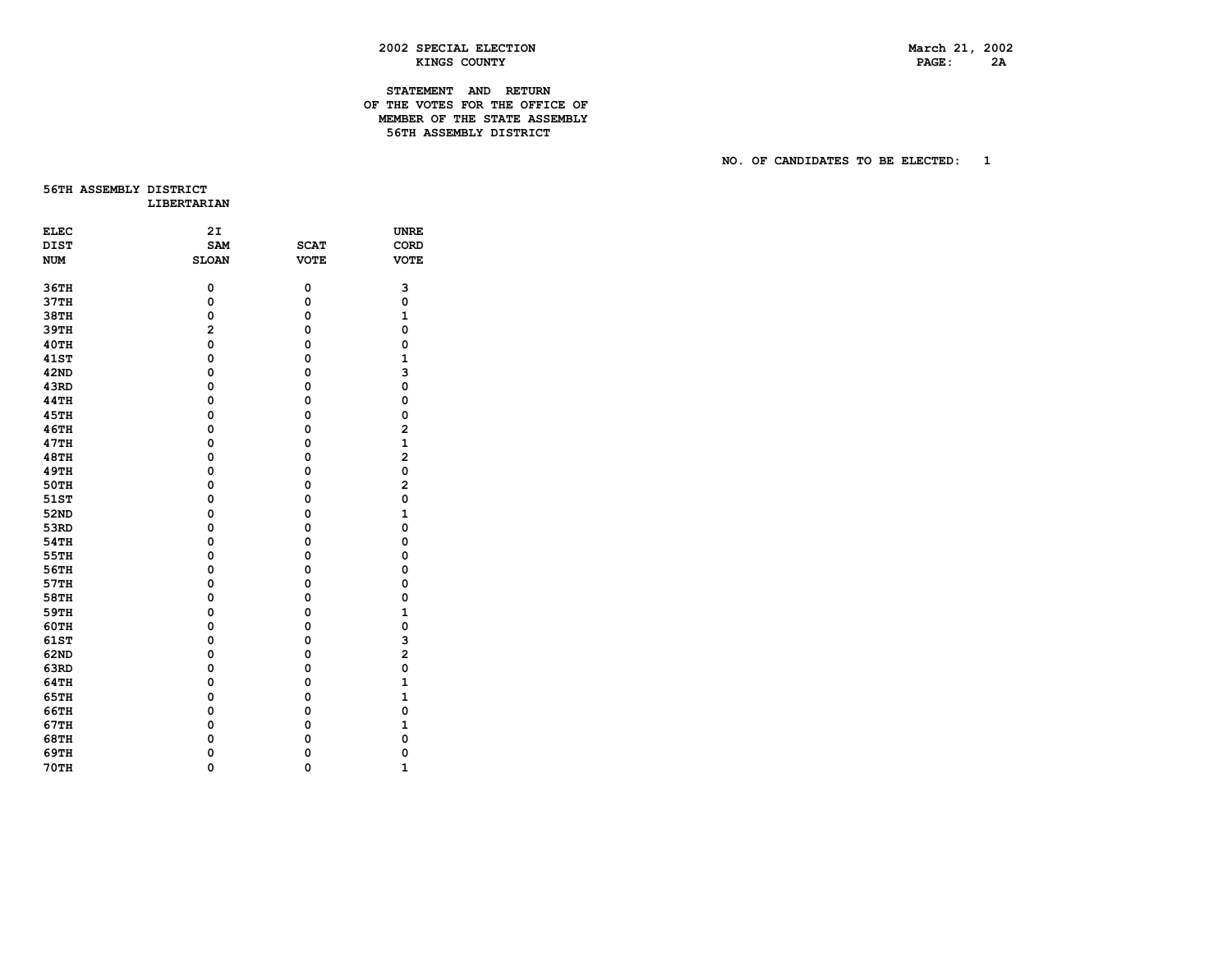# **2002 SPECIAL ELECTION March 21, 2002 EXINGS COUNTY AND RESOUNT RESOURCE ASSESSED ASSESSED AT A PAGE 2A A**

# **STATEMENT AND RETURN OF THE VOTES FOR THE OFFICE OF MEMBER OF THE STATE ASSEMBLY 56TH ASSEMBLY DISTRICT**

 **NO. OF CANDIDATES TO BE ELECTED: 1** 

**56TH ASSEMBLY DISTRICT LIBERTARIAN** 

| <b>ELEC</b> | 2I             |             | <b>UNRE</b>             |
|-------------|----------------|-------------|-------------------------|
| <b>DIST</b> | <b>SAM</b>     | <b>SCAT</b> | CORD                    |
| <b>NUM</b>  | <b>SLOAN</b>   | <b>VOTE</b> | <b>VOTE</b>             |
|             |                |             |                         |
| 36TH        | 0              | 0           | 3                       |
| 37TH        | 0              | 0           | 0                       |
| 38TH        | 0              | 0           | $\mathbf{1}$            |
| 39TH        | $\overline{a}$ | 0           | $\mathbf 0$             |
| <b>40TH</b> | 0              | 0           | $\mathbf 0$             |
| <b>41ST</b> | 0              | 0           | $\mathbf{1}$            |
| 42ND        | 0              | 0           | 3                       |
| 43RD        | 0              | 0           | 0                       |
| <b>44TH</b> | 0              | 0           | 0                       |
| <b>45TH</b> | 0              | 0           | 0                       |
| 46TH        | 0              | 0           | $\overline{a}$          |
| 47TH        | 0              | 0           | $\mathbf{1}$            |
| <b>48TH</b> | 0              | 0           | $\overline{\mathbf{c}}$ |
| <b>49TH</b> | 0              | 0           | 0                       |
| <b>50TH</b> | 0              | 0           | $\overline{\mathbf{c}}$ |
| 51ST        | $\mathbf 0$    | 0           | 0                       |
| 52ND        | $\mathbf 0$    | 0           | $\mathbf{1}$            |
| 53RD        | 0              | 0           | $\mathbf 0$             |
| <b>54TH</b> | 0              | 0           | $\mathbf 0$             |
| 55TH        | 0              | 0           | $\mathbf 0$             |
| 56TH        | 0              | 0           | 0                       |
| 57TH        | 0              | 0           | 0                       |
| 58TH        | 0              | 0           | 0                       |
| 59TH        | 0              | 0           | 1                       |
| 60TH        | 0              | 0           | $\mathbf 0$             |
| <b>61ST</b> | 0              | 0           | 3                       |
| 62ND        | $\mathbf 0$    | 0           | $\overline{a}$          |
| 63RD        | 0              | 0           | 0                       |
| 64TH        | $\mathbf 0$    | 0           | $\mathbf{1}$            |
| 65TH        | $\mathbf 0$    | 0           | $\mathbf{1}$            |
| 66TH        | 0              | 0           | 0                       |
| 67TH        | 0              | 0           | 1                       |
| 68TH        | 0              | 0           | $\mathbf 0$             |
| 69TH        | 0              | 0           | 0                       |
| <b>70TH</b> | $\mathbf 0$    | 0           | $\mathbf{1}$            |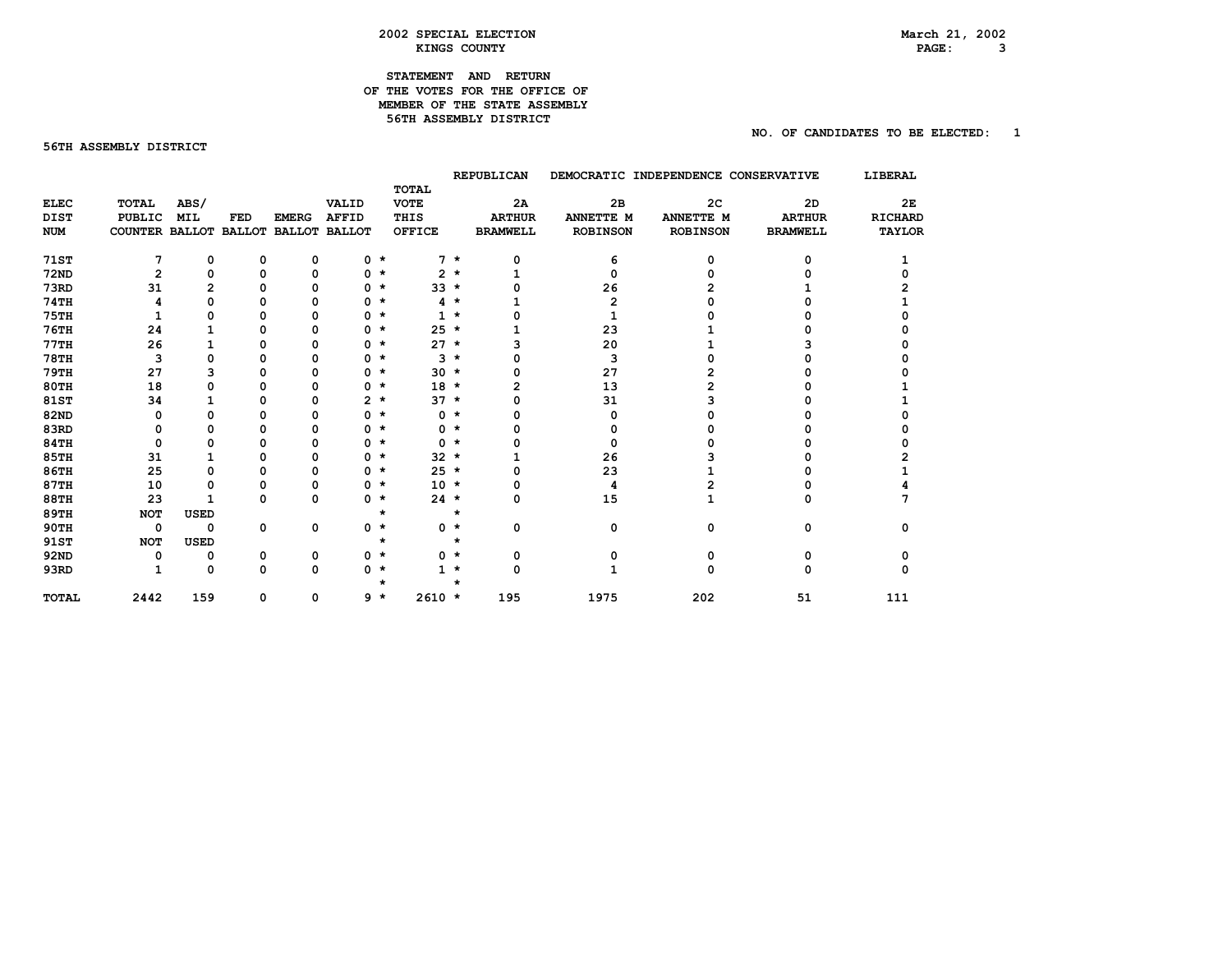# **2002 SPECIAL ELECTION March 21, 2002**  KINGS COUNTY

# **STATEMENT AND RETURN OF THE VOTES FOR THE OFFICE OF MEMBER OF THE STATE ASSEMBLY 56TH ASSEMBLY DISTRICT**

### **56TH ASSEMBLY DISTRICT**

 **NO. OF CANDIDATES TO BE ELECTED: 1** 

PAGE: 3

|              |                                     |             |             |              |                |         |               |            | REPUBLICAN      |                 | DEMOCRATIC INDEPENDENCE CONSERVATIVE |                 | LIBERAL        |
|--------------|-------------------------------------|-------------|-------------|--------------|----------------|---------|---------------|------------|-----------------|-----------------|--------------------------------------|-----------------|----------------|
|              |                                     |             |             |              |                |         | TOTAL         |            |                 |                 |                                      |                 |                |
| <b>ELEC</b>  | <b>TOTAL</b>                        | ABS/        |             |              | VALID          |         | <b>VOTE</b>   |            | 2A              | 2B              | 2 <sub>C</sub>                       | 2D              | 2E             |
| <b>DIST</b>  | <b>PUBLIC</b>                       | <b>MIL</b>  | FED         | <b>EMERG</b> | <b>AFFID</b>   |         | THIS          |            | <b>ARTHUR</b>   | ANNETTE M       | ANNETTE M                            | <b>ARTHUR</b>   | <b>RICHARD</b> |
| <b>NUM</b>   | COUNTER BALLOT BALLOT BALLOT BALLOT |             |             |              |                |         | <b>OFFICE</b> |            | <b>BRAMWELL</b> | <b>ROBINSON</b> | <b>ROBINSON</b>                      | <b>BRAMWELL</b> | <b>TAYLOR</b>  |
| <b>71ST</b>  | 7                                   | 0           | 0           | 0            |                | $0 *$   |               | $7 *$      | 0               | 6               | 0                                    | ŋ               |                |
| <b>72ND</b>  | $\mathbf{2}$                        | 0           | 0           | $\mathbf 0$  |                | $0 *$   |               | $2 *$      |                 | 0               |                                      |                 |                |
| 73RD         | 31                                  | 2           | n           | O            | 0              | $\star$ |               | $33 *$     |                 | 26              |                                      |                 |                |
| <b>74TH</b>  |                                     | 0           | n           | Ω            | 0              | $\star$ |               | $4 *$      |                 | 2               |                                      |                 |                |
| <b>75TH</b>  |                                     | 0           | n           | O            | 0              | $\star$ |               | $1 \star$  |                 |                 |                                      |                 |                |
| <b>76TH</b>  | 24                                  |             | O           | 0            | 0              | $\star$ | $25 *$        |            |                 | 23              |                                      |                 |                |
| 77TH         | 26                                  |             | n           | O            |                | $0 *$   | $27 *$        |            |                 | 20              |                                      |                 |                |
| <b>78TH</b>  | 3                                   | 0           |             |              | 0              | $\star$ | 3             | $\star$    |                 | 3               |                                      |                 |                |
| 79TH         | 27                                  | 3           |             | Ω            |                | $0 *$   |               | $30 *$     |                 | 27              |                                      |                 |                |
| <b>80TH</b>  | 18                                  | 0           |             | Ω            |                | $0 *$   | $18 *$        |            |                 | 13              |                                      |                 |                |
| 81ST         | 34                                  |             |             | 0            | $\mathbf{2}^-$ | $\star$ |               | $37 \star$ |                 | 31              |                                      |                 |                |
| <b>82ND</b>  | O                                   | 0           |             | O            | 0              | $\star$ |               | $0 *$      |                 | 0               |                                      |                 |                |
| 83RD         | 0                                   | 0           |             | 0            | 0              | $\star$ |               | $0 *$      |                 | 0               |                                      |                 |                |
| <b>84TH</b>  | 0                                   | 0           |             | O            | 0              | $\star$ |               | $0 *$      |                 | 0               |                                      |                 |                |
| <b>85TH</b>  | 31                                  |             | O           | 0            | 0              | $\star$ |               | $32 *$     |                 | 26              |                                      |                 |                |
| <b>86TH</b>  | 25                                  | 0           | n           | 0            | 0              | $\star$ | $25 *$        |            |                 | 23              |                                      |                 |                |
| <b>87TH</b>  | 10                                  | 0           | O           | 0            |                | $0 *$   | $10 *$        |            |                 | 4               |                                      |                 |                |
| <b>88TH</b>  | 23                                  |             | n           | $\Omega$     |                | $0 *$   | $24$ *        |            | 0               | 15              |                                      | O               |                |
| <b>89TH</b>  | <b>NOT</b>                          | <b>USED</b> |             |              |                | $\star$ |               | $\star$    |                 |                 |                                      |                 |                |
| <b>90TH</b>  | $\mathbf 0$                         | 0           | $\mathbf 0$ | 0            |                | $0 *$   |               | $0 *$      | 0               | 0               | 0                                    | 0               | n              |
| 91ST         | <b>NOT</b>                          | <b>USED</b> |             |              |                | *       |               | $\star$    |                 |                 |                                      |                 |                |
| <b>92ND</b>  | 0                                   | 0           | 0           | 0            |                | $0 *$   |               | $0 *$      | 0               | 0               | 0                                    | O               |                |
| 93RD         | 1                                   | 0           | 0           | 0            |                | $0 *$   |               | $1 \star$  | 0               | 1               | 0                                    | 0               |                |
| <b>TOTAL</b> | 2442                                | 159         | 0           | 0            |                | 9 *     | $2610 *$      |            | 195             | 1975            | 202                                  | 51              | 111            |